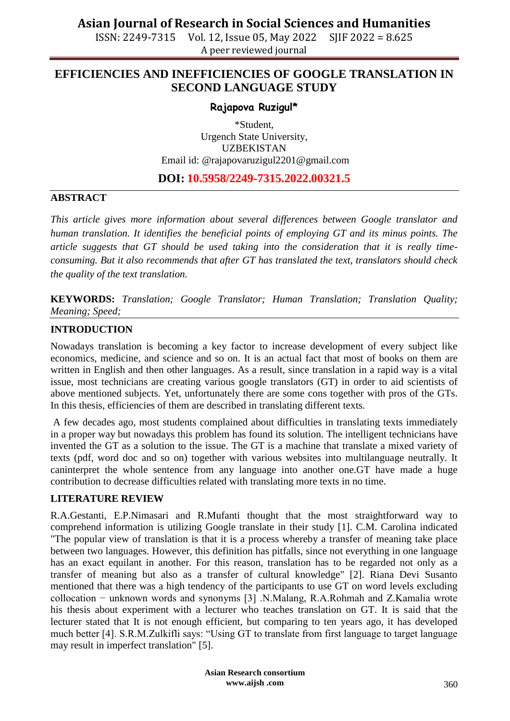ISSN: 2249-7315 Vol. 12, Issue 05, May 2022 SJIF 2022 = 8.625 A peer reviewed journal

## **EFFICIENCIES AND INEFFICIENCIES OF GOOGLE TRANSLATION IN SECOND LANGUAGE STUDY**

## **Rajapova Ruzigul\***

\*Student, Urgench State University, UZBEKISTAN Email id: @rajapovaruzigul2201@gmail.com

## **DOI: 10.5958/2249-7315.2022.00321.5**

## **ABSTRACT**

*This article gives more information about several differences between Google translator and human translation. It identifies the beneficial points of employing GT and its minus points. The article suggests that GT should be used taking into the consideration that it is really timeconsuming. But it also recommends that after GT has translated the text, translators should check the quality of the text translation.*

**KEYWORDS:** *Translation; Google Translator; Human Translation; Translation Quality; Meaning; Speed;*

## **INTRODUCTION**

Nowadays translation is becoming a key factor to increase development of every subject like economics, medicine, and science and so on. It is an actual fact that most of books on them are written in English and then other languages. As a result, since translation in a rapid way is a vital issue, most technicians are creating various google translators (GT) in order to aid scientists of above mentioned subjects. Yet, unfortunately there are some cons together with pros of the GTs. In this thesis, efficiencies of them are described in translating different texts.

A few decades ago, most students complained about difficulties in translating texts immediately in a proper way but nowadays this problem has found its solution. The intelligent technicians have invented the GT as a solution to the issue. The GT is a machine that translate a mixed variety of texts (pdf, word doc and so on) together with various websites into multilanguage neutrally. It caninterpret the whole sentence from any language into another one.GT have made a huge contribution to decrease difficulties related with translating more texts in no time.

## **LITERATURE REVIEW**

R.A.Gestanti, E.P.Nimasari and R.Mufanti thought that the most straightforward way to comprehend information is utilizing Google translate in their study [1]. C.M. Carolina indicated "The popular view of translation is that it is a process whereby a transfer of meaning take place between two languages. However, this definition has pitfalls, since not everything in one language has an exact equilant in another. For this reason, translation has to be regarded not only as a transfer of meaning but also as a transfer of cultural knowledge" [2]. Riana Devi Susanto mentioned that there was a high tendency of the participants to use GT on word levels excluding collocation − unknown words and synonyms [3] .N.Malang, R.A.Rohmah and Z.Kamalia wrote his thesis about experiment with a lecturer who teaches translation on GT. It is said that the lecturer stated that It is not enough efficient, but comparing to ten years ago, it has developed much better [4]. S.R.M.Zulkifli says: "Using GT to translate from first language to target language may result in imperfect translation" [5].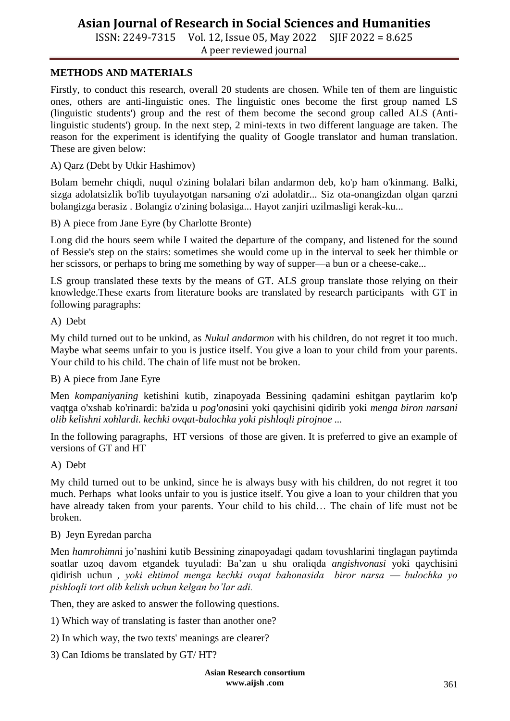ISSN: 2249-7315 Vol. 12, Issue 05, May 2022 SJIF 2022 = 8.625 A peer reviewed journal

## **METHODS AND MATERIALS**

Firstly, to conduct this research, overall 20 students are chosen. While ten of them are linguistic ones, others are anti-linguistic ones. The linguistic ones become the first group named LS (linguistic students') group and the rest of them become the second group called ALS (Antilinguistic students') group. In the next step, 2 mini-texts in two different language are taken. The reason for the experiment is identifying the quality of Google translator and human translation. These are given below:

A) Qarz (Debt by Utkir Hashimov)

Bolam bemehr chiqdi, nuqul o'zining bolalari bilan andarmon deb, ko'p ham o'kinmang. Balki, sizga adolatsizlik bo'lib tuyulayotgan narsaning o'zi adolatdir... Siz ota-onangizdan olgan qarzni bolangizga berasiz . Bolangiz o'zining bolasiga... Hayot zanjiri uzilmasligi kerak-ku...

B) A piece from Jane Eyre (by Charlotte Bronte)

Long did the hours seem while I waited the departure of the company, and listened for the sound of Bessie's step on the stairs: sometimes she would come up in the interval to seek her thimble or her scissors, or perhaps to bring me something by way of supper—a bun or a cheese-cake...

LS group translated these texts by the means of GT. ALS group translate those relying on their knowledge.These exarts from literature books are translated by research participants with GT in following paragraphs:

A) Debt

My child turned out to be unkind, as *Nukul andarmon* with his children, do not regret it too much. Maybe what seems unfair to you is justice itself. You give a loan to your child from your parents. Your child to his child. The chain of life must not be broken.

B) A piece from Jane Eyre

Men *kompaniyaning* ketishini kutib, zinapoyada Bessining qadamini eshitgan paytlarim ko'p vaqtga o'xshab ko'rinardi: ba'zida u *pog'ona*sini yoki qaychisini qidirib yoki *menga biron narsani olib kelishni xohlardi. kechki ovqat-bulochka yoki pishloqli pirojnoe ...*

In the following paragraphs, HT versions of those are given. It is preferred to give an example of versions of GT and HT

A) Debt

My child turned out to be unkind, since he is always busy with his children, do not regret it too much. Perhaps what looks unfair to you is justice itself. You give a loan to your children that you have already taken from your parents. Your child to his child… The chain of life must not be broken.

#### B) Jeyn Eyredan parcha

Men *hamrohimn*i jo'nashini kutib Bessining zinapoyadagi qadam tovushlarini tinglagan paytimda soatlar uzoq davom etgandek tuyuladi: Ba'zan u shu oraliqda *angishvonasi* yoki qaychisini qidirish uchun *, yoki ehtimol menga kechki ovqat bahonasida biror narsa ⸺ bulochka yo pishloqli tort olib kelish uchun kelgan bo'lar adi.*

Then, they are asked to answer the following questions.

1) Which way of translating is faster than another one?

2) In which way, the two texts' meanings are clearer?

3) Can Idioms be translated by GT/ HT?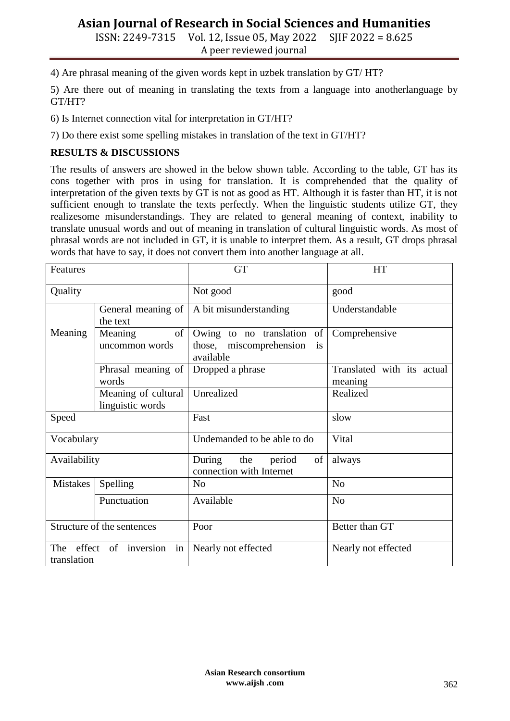ISSN: 2249-7315 Vol. 12, Issue 05, May 2022 SJIF 2022 = 8.625 A peer reviewed journal

4) Are phrasal meaning of the given words kept in uzbek translation by GT/ HT?

5) Are there out of meaning in translating the texts from a language into anotherlanguage by GT/HT?

6) Is Internet connection vital for interpretation in GT/HT?

7) Do there exist some spelling mistakes in translation of the text in GT/HT?

## **RESULTS & DISCUSSIONS**

The results of answers are showed in the below shown table. According to the table, GT has its cons together with pros in using for translation. It is comprehended that the quality of interpretation of the given texts by GT is not as good as HT. Although it is faster than HT, it is not sufficient enough to translate the texts perfectly. When the linguistic students utilize GT, they realizesome misunderstandings. They are related to general meaning of context, inability to translate unusual words and out of meaning in translation of cultural linguistic words. As most of phrasal words are not included in GT, it is unable to interpret them. As a result, GT drops phrasal words that have to say, it does not convert them into another language at all.

| Features                                     |                                         | <b>GT</b>                                                                   | <b>HT</b>                             |
|----------------------------------------------|-----------------------------------------|-----------------------------------------------------------------------------|---------------------------------------|
| Quality                                      |                                         | Not good                                                                    | good                                  |
|                                              | General meaning of<br>the text          | A bit misunderstanding                                                      | Understandable                        |
| Meaning                                      | of<br>Meaning<br>uncommon words         | Owing to no translation<br>of<br>those, miscomprehension<br>is<br>available | Comprehensive                         |
|                                              | Phrasal meaning of<br>words             | Dropped a phrase                                                            | Translated with its actual<br>meaning |
|                                              | Meaning of cultural<br>linguistic words | Unrealized                                                                  | Realized                              |
| Speed                                        |                                         | Fast                                                                        | slow                                  |
| Vocabulary                                   |                                         | Undemanded to be able to do                                                 | Vital                                 |
| Availability                                 |                                         | During<br>the<br>of<br>period<br>connection with Internet                   | always                                |
| <b>Mistakes</b>                              | Spelling                                | N <sub>o</sub>                                                              | No                                    |
|                                              | Punctuation                             | Available                                                                   | N <sub>o</sub>                        |
| Structure of the sentences                   |                                         | Poor                                                                        | Better than GT                        |
| The effect of inversion<br>in<br>translation |                                         | Nearly not effected                                                         | Nearly not effected                   |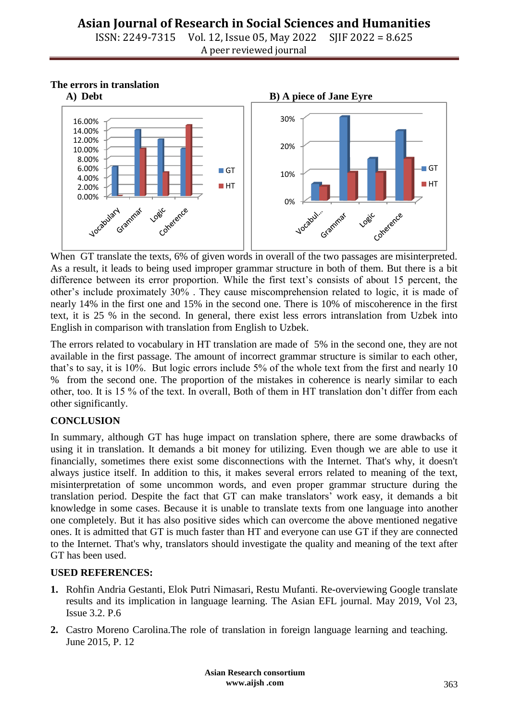ISSN: 2249-7315 Vol. 12, Issue 05, May 2022 SJIF 2022 = 8.625 A peer reviewed journal

**The errors in translation**



When GT translate the texts, 6% of given words in overall of the two passages are misinterpreted. As a result, it leads to being used improper grammar structure in both of them. But there is a bit difference between its error proportion. While the first text's consists of about 15 percent, the other's include proximately 30% . They cause miscomprehension related to logic, it is made of nearly 14% in the first one and 15% in the second one. There is 10% of miscoherence in the first text, it is 25 % in the second. In general, there exist less errors intranslation from Uzbek into English in comparison with translation from English to Uzbek.

The errors related to vocabulary in HT translation are made of 5% in the second one, they are not available in the first passage. The amount of incorrect grammar structure is similar to each other, that's to say, it is 10%. But logic errors include 5% of the whole text from the first and nearly 10 % from the second one. The proportion of the mistakes in coherence is nearly similar to each other, too. It is 15 % of the text. In overall, Both of them in HT translation don't differ from each other significantly.

## **CONCLUSION**

In summary, although GT has huge impact on translation sphere, there are some drawbacks of using it in translation. It demands a bit money for utilizing. Even though we are able to use it financially, sometimes there exist some disconnections with the Internet. That's why, it doesn't always justice itself. In addition to this, it makes several errors related to meaning of the text, misinterpretation of some uncommon words, and even proper grammar structure during the translation period. Despite the fact that GT can make translators' work easy, it demands a bit knowledge in some cases. Because it is unable to translate texts from one language into another one completely. But it has also positive sides which can overcome the above mentioned negative ones. It is admitted that GT is much faster than HT and everyone can use GT if they are connected to the Internet. That's why, translators should investigate the quality and meaning of the text after GT has been used.

## **USED REFERENCES:**

- **1.** Rohfin Andria Gestanti, Elok Putri Nimasari, Restu Mufanti. Re-overviewing Google translate results and its implication in language learning. The Asian EFL journal. May 2019, Vol 23, Issue 3.2. P.6
- **2.** Castro Moreno Carolina.The role of translation in foreign language learning and teaching. June 2015, P. 12